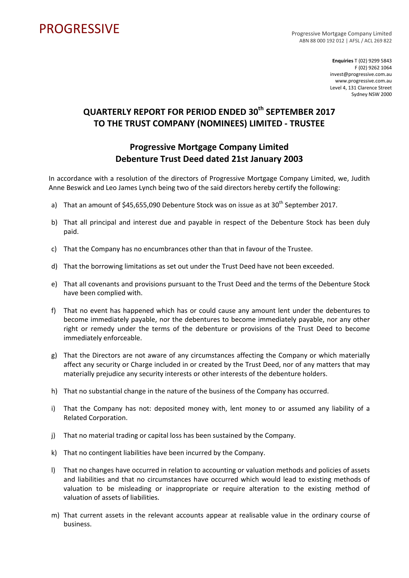## PROGRESSIVE PROGRESSIVE

ABN 88 000 192 012 | AFSL / ACL 269 822

**Enquiries** T (02) 9299 5843 F (02) 9262 1064 invest@progressive.com.au www.progressive.com.au Level 4, 131 Clarence Street Sydney NSW 2000

## **QUARTERLY REPORT FOR PERIOD ENDED 30th SEPTEMBER 2017 TO THE TRUST COMPANY (NOMINEES) LIMITED ‐ TRUSTEE**

## **Progressive Mortgage Company Limited Debenture Trust Deed dated 21st January 2003**

In accordance with a resolution of the directors of Progressive Mortgage Company Limited, we, Judith Anne Beswick and Leo James Lynch being two of the said directors hereby certify the following:

- a) That an amount of  $$45,655,090$  Debenture Stock was on issue as at  $30<sup>th</sup>$  September 2017.
- b) That all principal and interest due and payable in respect of the Debenture Stock has been duly paid.
- c) That the Company has no encumbrances other than that in favour of the Trustee.
- d) That the borrowing limitations as set out under the Trust Deed have not been exceeded.
- e) That all covenants and provisions pursuant to the Trust Deed and the terms of the Debenture Stock have been complied with.
- f) That no event has happened which has or could cause any amount lent under the debentures to become immediately payable, nor the debentures to become immediately payable, nor any other right or remedy under the terms of the debenture or provisions of the Trust Deed to become immediately enforceable.
- g) That the Directors are not aware of any circumstances affecting the Company or which materially affect any security or Charge included in or created by the Trust Deed, nor of any matters that may materially prejudice any security interests or other interests of the debenture holders.
- h) That no substantial change in the nature of the business of the Company has occurred.
- i) That the Company has not: deposited money with, lent money to or assumed any liability of a Related Corporation.
- j) That no material trading or capital loss has been sustained by the Company.
- k) That no contingent liabilities have been incurred by the Company.
- l) That no changes have occurred in relation to accounting or valuation methods and policies of assets and liabilities and that no circumstances have occurred which would lead to existing methods of valuation to be misleading or inappropriate or require alteration to the existing method of valuation of assets of liabilities.
- m) That current assets in the relevant accounts appear at realisable value in the ordinary course of business.